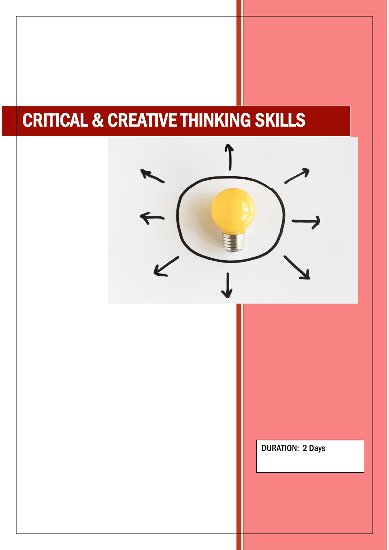# CRITICAL & CREATIVE THINKING SKILLS

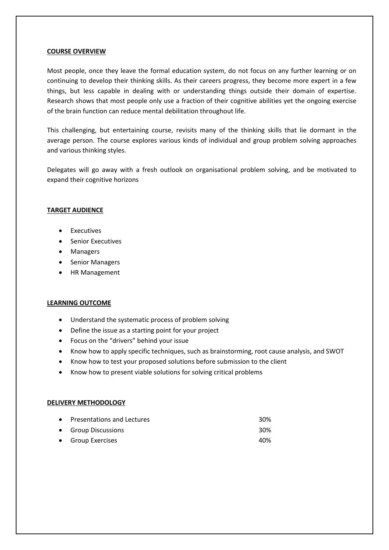#### **COURSE OVERVIEW**

Most people, once they leave the formal education system, do not focus on any further learning or on continuing to develop their thinking skills. As their careers progress, they become more expert in a few things, but less capable in dealing with or understanding things outside their domain of expertise. Research shows that most people only use a fraction of their cognitive abilities yet the ongoing exercise of the brain function can reduce mental debilitation throughout life.

This challenging, but entertaining course, revisits many of the thinking skills that lie dormant in the average person. The course explores various kinds of individual and group problem solving approaches and various thinking styles.

Delegates will go away with a fresh outlook on organisational problem solving, and be motivated to expand their cognitive horizons

## **TARGET AUDIENCE**

- Executives
- Senior Executives
- Managers
- Senior Managers
- HR Management

## **LEARNING OUTCOME**

- Understand the systematic process of problem solving
- Define the issue as a starting point for your project
- Focus on the "drivers" behind your issue
- Know how to apply specific techniques, such as brainstorming, root cause analysis, and SWOT
- Know how to test your proposed solutions before submission to the client
- Know how to present viable solutions for solving critical problems

## **DELIVERY METHODOLOGY**

| • Presentations and Lectures | 30% |
|------------------------------|-----|
| • Group Discussions          | 30% |
| • Group Exercises            | 40% |